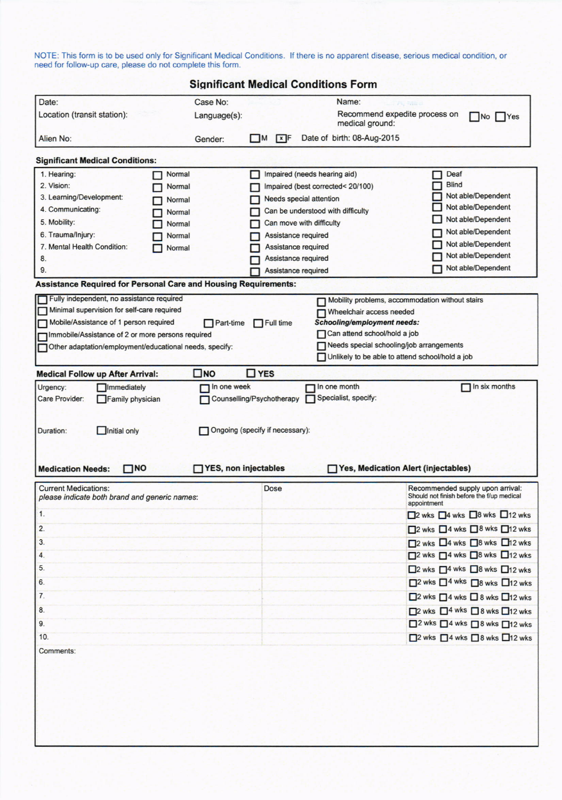NOTE: This form is to be used only for Significant Medical Conditions. If there is no apparent disease, serious medical condition, or need for follow-up care, please do not complete this form.

| <b>Significant Medical Conditions Form</b>                                                                  |                                                                                      |                |                                                                                    |                                                  |                                                                                              |  |  |
|-------------------------------------------------------------------------------------------------------------|--------------------------------------------------------------------------------------|----------------|------------------------------------------------------------------------------------|--------------------------------------------------|----------------------------------------------------------------------------------------------|--|--|
| Date:                                                                                                       | Case No:                                                                             |                |                                                                                    | Name:                                            |                                                                                              |  |  |
| Location (transit station):                                                                                 | Language(s):                                                                         |                |                                                                                    | Recommend expedite process on<br>medical ground: | No   Yes                                                                                     |  |  |
| Alien No:                                                                                                   | Gender:                                                                              | $\blacksquare$ | xF                                                                                 | Date of birth: 08-Aug-2015                       |                                                                                              |  |  |
| <b>Significant Medical Conditions:</b>                                                                      |                                                                                      |                |                                                                                    |                                                  |                                                                                              |  |  |
| 1. Hearing:<br>Normal                                                                                       |                                                                                      |                |                                                                                    | Impaired (needs hearing aid)                     | Deaf                                                                                         |  |  |
| 2. Vision:<br>Normal                                                                                        |                                                                                      |                |                                                                                    | Impaired (best corrected< 20/100)                | <b>Blind</b>                                                                                 |  |  |
| 3. Learning/Development:<br>Normal                                                                          |                                                                                      |                |                                                                                    | <b>Needs special attention</b>                   | Not able/Dependent                                                                           |  |  |
| 4. Communicating:<br>Normal                                                                                 |                                                                                      |                |                                                                                    | Can be understood with difficulty                | Not able/Dependent                                                                           |  |  |
| 5. Mobility:<br>Normal                                                                                      |                                                                                      |                |                                                                                    | Can move with difficulty                         | Not able/Dependent                                                                           |  |  |
| 6. Trauma/Injury:<br>Normal                                                                                 |                                                                                      |                |                                                                                    | Assistance required                              | Not able/Dependent                                                                           |  |  |
| 7. Mental Health Condition:<br>Normal                                                                       |                                                                                      |                |                                                                                    | Assistance required                              | Not able/Dependent<br>Not able/Dependent                                                     |  |  |
| 8.                                                                                                          |                                                                                      |                |                                                                                    | Assistance required                              | Not able/Dependent                                                                           |  |  |
| 9.                                                                                                          |                                                                                      |                |                                                                                    | Assistance required                              |                                                                                              |  |  |
| <b>Assistance Required for Personal Care and Housing Requirements:</b>                                      |                                                                                      |                |                                                                                    |                                                  |                                                                                              |  |  |
| Fully independent, no assistance required                                                                   |                                                                                      |                | Mobility problems, accommodation without stairs<br>П                               |                                                  |                                                                                              |  |  |
| Minimal supervision for self-care required                                                                  |                                                                                      |                | Wheelchair access needed<br><b>Schooling/employment needs:</b><br>$\Box$ Full time |                                                  |                                                                                              |  |  |
| Mobile/Assistance of 1 person required<br>Immobile/Assistance of 2 or more persons required                 | $\Box$ Part-time                                                                     |                |                                                                                    | Can attend school/hold a job                     |                                                                                              |  |  |
| L<br>Other adaptation/employment/educational needs, specify:                                                |                                                                                      |                |                                                                                    | Needs special schooling/job arrangements         |                                                                                              |  |  |
|                                                                                                             |                                                                                      |                |                                                                                    | Unlikely to be able to attend school/hold a job  |                                                                                              |  |  |
| <b>Medical Follow up After Arrival:</b>                                                                     | $\square$ NO                                                                         | $\Box$ YES     |                                                                                    |                                                  |                                                                                              |  |  |
| Urgency:<br><b>Immediately</b>                                                                              | In one week                                                                          |                |                                                                                    | In one month                                     | In six months                                                                                |  |  |
| Care Provider:<br>Family physician<br>Initial only<br>Duration:<br>$\square$ NO<br><b>Medication Needs:</b> | Counselling/Psychotherapy<br>Ongoing (specify if necessary):<br>YES, non injectables |                |                                                                                    | Specialist, specify:                             | Yes, Medication Alert (injectables)                                                          |  |  |
| <b>Current Medications:</b><br>please indicate both brand and generic names:                                |                                                                                      |                | Dose                                                                               |                                                  | Recommended supply upon arrival:<br>Should not finish before the f/up medical<br>appointment |  |  |
| 1.                                                                                                          |                                                                                      |                |                                                                                    |                                                  | □2 wks □4 wks □8 wks □12 wks                                                                 |  |  |
| 2.                                                                                                          |                                                                                      |                |                                                                                    |                                                  | $\Box$ 2 wks $\Box$ 4 wks $\Box$ 8 wks $\Box$ 12 wks                                         |  |  |
| 3.                                                                                                          |                                                                                      |                |                                                                                    |                                                  | □2 wks □4 wks □8 wks □12 wks                                                                 |  |  |
| 4.                                                                                                          |                                                                                      |                |                                                                                    |                                                  | $\Box$ 2 wks $\Box$ 4 wks $\Box$ 8 wks $\Box$ 12 wks                                         |  |  |
| 5.                                                                                                          |                                                                                      |                |                                                                                    |                                                  | $\Box$ 2 wks $\Box$ <sup>4</sup> wks $\Box$ 8 wks $\Box$ 12 wks                              |  |  |
| 6.                                                                                                          |                                                                                      |                |                                                                                    |                                                  | $\square$ <sup>2</sup> wks $\square$ <sup>4</sup> wks $\square$ 8 wks $\square$ 12 wks       |  |  |
|                                                                                                             |                                                                                      |                |                                                                                    |                                                  |                                                                                              |  |  |
| 7.                                                                                                          |                                                                                      |                |                                                                                    |                                                  | □2 wks □4 wks □8 wks □12 wks                                                                 |  |  |
| 8.                                                                                                          |                                                                                      |                |                                                                                    |                                                  | $\square$ 2 wks $\square$ <sup>4 wks</sup> $\square$ 8 wks $\square$ 12 wks                  |  |  |
| 9.                                                                                                          |                                                                                      |                |                                                                                    |                                                  | □ <sup>2</sup> wks □4 wks □8 wks □12 wks                                                     |  |  |
| 10.                                                                                                         |                                                                                      |                |                                                                                    |                                                  | □2 wks □4 wks □8 wks □12 wks                                                                 |  |  |
| Comments:                                                                                                   |                                                                                      |                |                                                                                    |                                                  |                                                                                              |  |  |